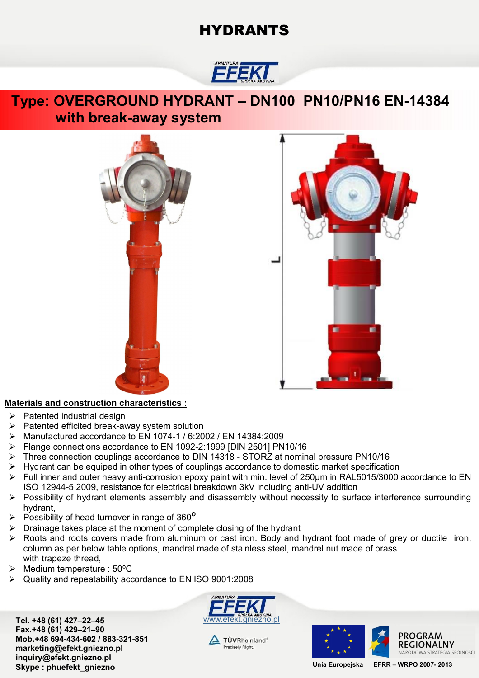## **HYDRANTS**



### **Type: OVERGROUND HYDRANT – DN100 PN10/PN16 EN-14384 with break-away system**





### **Materials and construction characteristics :**

- $\triangleright$  Patented industrial design
- $\triangleright$  Patented efficited break-away system solution
- Manufactured accordance to EN 1074-1 / 6:2002 / EN 14384:2009
- Flange connections accordance to EN 1092-2:1999 [DIN 2501] PN10/16
- Three connection couplings accordance to DIN 14318 STORZ at nominal pressure PN10/16
- $\triangleright$  Hydrant can be equiped in other types of couplings accordance to domestic market specification
- Full inner and outer heavy anti-corrosion epoxy paint with min. level of 250μm in RAL5015/3000 accordance to EN ISO 12944-5:2009, resistance for electrical breakdown 3kV including anti-UV addition
- Possibility of hydrant elements assembly and disassembly without necessity to surface interference surrounding hydrant,
- Possibility of head turnover in range of 360**<sup>O</sup>**
- $\triangleright$  Drainage takes place at the moment of complete closing of the hydrant
- Roots and roots covers made from aluminum or cast iron. Body and hydrant foot made of grey or ductile iron, column as per below table options, mandrel made of stainless steel, mandrel nut made of brass with trapeze thread,
- $\triangleright$  Medium temperature : 50°C
- Quality and repeatability accordance to EN ISO 9001:2008

**Tel. +48 (61) 427–22–45** www.efekt.gniezno.pl **Fax.+48 (61) 429–21–90 Mob.+48 694-434-602 / 883-321-851 marketing@efekt.gniezno.pl inquiry@efekt.gniezno.pl Skype : phuefekt\_gniezno Unia Europejska EFRR – WRPO 2007- <sup>2013</sup>**



 $\Delta$  TÜVRheinland® Precisely Right.